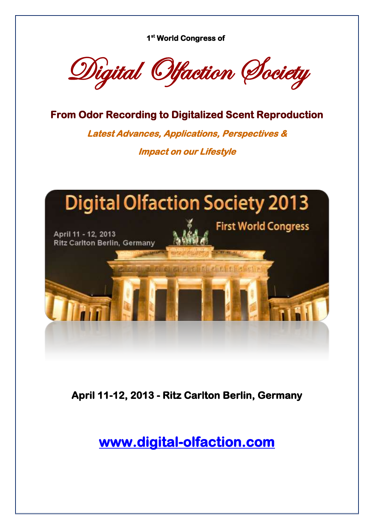**1st World Congress of** 

Digital Olfaction Society

**From Odor Recording to Digitalized Scent Reproduction** 

**Latest Advances, Applications, Perspectives & Impact on our Lifestyle** 



**April 11-12, 2013 - Ritz Carlton Berlin, Germany** 

**[www.digital-olfaction.com](http://www.digital-olfaction.com/)**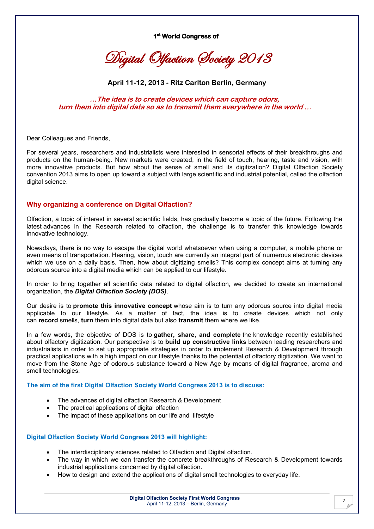**1st World Congress of** 

Digital Olfaction Society 2013

**April 11-12, 2013 - Ritz Carlton Berlin, Germany**

**…The idea is to create devices which can capture odors, turn them into digital data so as to transmit them everywhere in the world …**

Dear Colleagues and Friends,

For several years, researchers and industrialists were interested in sensorial effects of their breakthroughs and products on the human-being. New markets were created, in the field of touch, hearing, taste and vision, with more innovative products. But how about the sense of smell and its digitization? Digital Olfaction Society convention 2013 aims to open up toward a subject with large scientific and industrial potential, called the olfaction digital science.

# **Why organizing a conference on Digital Olfaction?**

Olfaction, a topic of interest in several scientific fields, has gradually become a topic of the future. Following the latest advances in the Research related to olfaction, the challenge is to transfer this knowledge towards innovative technology.

Nowadays, there is no way to escape the digital world whatsoever when using a computer, a mobile phone or even means of transportation. Hearing, vision, touch are currently an integral part of numerous electronic devices which we use on a daily basis. Then, how about digitizing smells? This complex concept aims at turning any odorous source into a digital media which can be applied to our lifestyle.

In order to bring together all scientific data related to digital olfaction, we decided to create an international organization, the *Digital Olfaction Society (DOS)*.

Our desire is to **promote this innovative concept** whose aim is to turn any odorous source into digital media applicable to our lifestyle. As a matter of fact, the idea is to create devices which not only can **record** smells, **turn** them into digital data but also **transmit** them where we like.

In a few words, the objective of DOS is to **gather, share, and complete** the knowledge recently established about olfactory digitization. Our perspective is to **build up constructive links** between leading researchers and industrialists in order to set up appropriate strategies in order to implement Research & Development through practical applications with a high impact on our lifestyle thanks to the potential of olfactory digitization. We want to move from the Stone Age of odorous substance toward a New Age by means of digital fragrance, aroma and smell technologies.

### **The aim of the first Digital Olfaction Society World Congress 2013 is to discuss:**

- The advances of digital olfaction Research & Development
- The practical applications of digital olfaction
- The impact of these applications on our life and lifestyle

### **Digital Olfaction Society World Congress 2013 will highlight:**

- The interdisciplinary sciences related to Olfaction and Digital olfaction.
- The way in which we can transfer the concrete breakthroughs of Research & Development towards industrial applications concerned by digital olfaction.
- How to design and extend the applications of digital smell technologies to everyday life.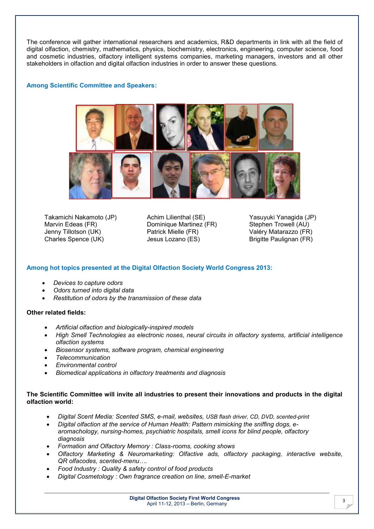The conference will gather international researchers and academics, R&D departments in link with all the field of digital olfaction, chemistry, mathematics, physics, biochemistry, electronics, engineering, computer science, food and cosmetic industries, olfactory intelligent systems companies, marketing managers, investors and all other stakeholders in olfaction and digital olfaction industries in order to answer these questions.

## **Among Scientific Committee and Speakers:**



Takamichi Nakamoto (JP) Marvin Edeas (FR) Jenny Tillotson (UK) Charles Spence (UK)

Achim Lilienthal (SE) Dominique Martinez (FR) Patrick Mielle (FR) Jesus Lozano (ES)

Yasuyuki Yanagida (JP) Stephen Trowell (AU) Valéry Matarazzo (FR) Brigitte Paulignan (FR)

## **Among hot topics presented at the Digital Olfaction Society World Congress 2013:**

- x *Devices to capture odors*
- x *Odors turned into digital data*
- x *Restitution of odors by the transmission of these data*

## **Other related fields:**

- x *Artificial olfaction and biologically-inspired models*
- x *High Smell Technologies as electronic noses, neural circuits in olfactory systems, artificial intelligence olfaction systems*
- x *Biosensor systems, software program, chemical engineering*
- x *Telecommunication*
- x *Environmental control*
- x *Biomedical applications in olfactory treatments and diagnosis*

## **The Scientific Committee will invite all industries to present their innovations and products in the digital olfaction world:**

- x *Digital Scent Media: Scented SMS, e-mail, websites, USB flash driver, CD, DVD, scented-print*
- x *Digital olfaction at the service of Human Health: Pattern mimicking the sniffing dogs, earomachology, nursing-homes, psychiatric hospitals, smell icons for blind people, olfactory diagnosis*
- x *Formation and Olfactory Memory : Class-rooms, cooking shows*
- x *Olfactory Marketing & Neuromarketing: Olfactive ads, olfactory packaging, interactive website, QR olfacodes, scented-menu….*
- x *Food Industry : Quality & safety control of food products*
- x *Digital Cosmetology : Own fragrance creation on line, smell-E-market*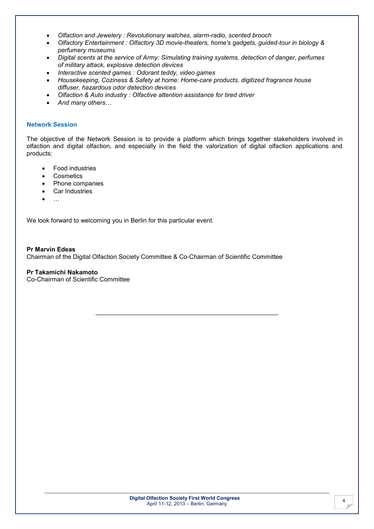- x *Olfaction and Jewelery : Revolutionary watches, alarm-radio, scented brooch*
- x *Olfactory Entertainment : Olfactory 3D movie-theaters, home's gadgets, guided-tour in biology & perfumery museums*
- x *Digital scents at the service of Army: Simulating training systems, detection of danger, perfumes of military attack, explosive detection devices*
- x *Interactive scented games : Odorant teddy, video games*
- x *Housekeeping, Coziness & Safety at home: Home-care products, digitized fragrance house diffuser, hazardous odor detection devices*
- x *Olfaction & Auto industry : Olfactive attention assistance for tired driver*
- x *And many others…*

## **Network Session**

The objective of the Network Session is to provide a platform which brings together stakeholders involved in olfaction and digital olfaction, and especially in the field the valorization of digital olfaction applications and products:

- Food industries
- **Cosmetics**
- Phone companies
- Car Industries
- $\ldots$

We look forward to welcoming you in Berlin for this particular event.

**Pr Marvin Edeas** Chairman of the Digital Olfaction Society Committee & Co-Chairman of Scientific Committee

# **Pr Takamichi Nakamoto**

Co-Chairman of Scientific Committee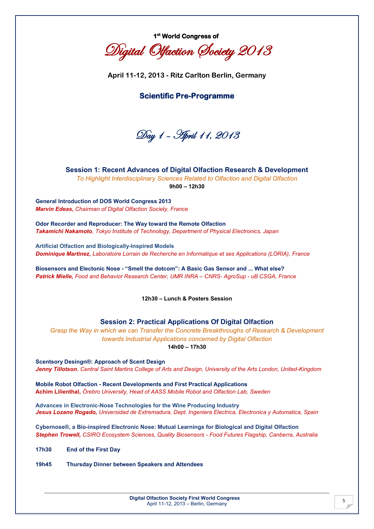

Digital Olfaction Society 2013

**April 11-12, 2013 - Ritz Carlton Berlin, Germany**

# **Scientific Pre-Programme**

Day 1 – April 11, 2013

# **Session 1: Recent Advances of Digital Olfaction Research & Development**

*To Highlight Interdisciplinary Sciences Related to Olfaction and Digital Olfaction* **9h00 – 12h30**

**General Introduction of DOS World Congress 2013** *Marvin Edeas, Chairman of Digital Olfaction Society, France* 

**Odor Recorder and Reproducer: The Way toward the Remote Olfaction** *Takamichi Nakamoto, Tokyo Institute of Technology, Department of Physical Electronics, Japan* 

**Artificial Olfaction and Biologically-Inspired Models** *Dominique Martinez, Laboratoire Lorrain de Recherche en Informatique et ses Applications (LORIA), France*

**Biosensors and Electonic Nose - "Smell the dotcom": A Basic Gas Sensor and ... What else?**  *Patrick Mielle, Food and Behavior Research Center, UMR INRA – CNRS- AgroSup - uB CSGA, France*

**12h30 – Lunch & Posters Session**

## **Session 2: Practical Applications Of Digital Olfaction**

*Grasp the Way in which we can Transfer the Concrete Breakthroughs of Research & Development towards Industrial Applications concerned by Digital Olfaction*

**14h00 – 17h30**

**Scentsory Desingn®: Approach of Scent Design**  *Jenny Tillotson, Central Saint Martins College of Arts and Design, University of the Arts London, United-Kingdom*

**Mobile Robot Olfaction - Recent Developments and First Practical Applications Achim Lilienthal,** *Örebro University, Head of AASS Mobile Robot and Olfaction Lab, Sweden*

**Advances in Electronic-Nose Technologies for the Wine Producing Industry** *Jesus Lozano Rogado, Universidad de Extremadura, Dept. Ingeniera Electrica, Electronica y Automatica, Spain*

**Cybernose®, a Bio-inspired Electronic Nose: Mutual Learnings for Biological and Digital Olfaction** *Stephen Trowell, CSIRO Ecosystem Sciences, Quality Biosensors - Food Futures Flagship, Canberra, Australia*

**17h30 End of the First Day**

**19h45 Thursday Dinner between Speakers and Attendees**